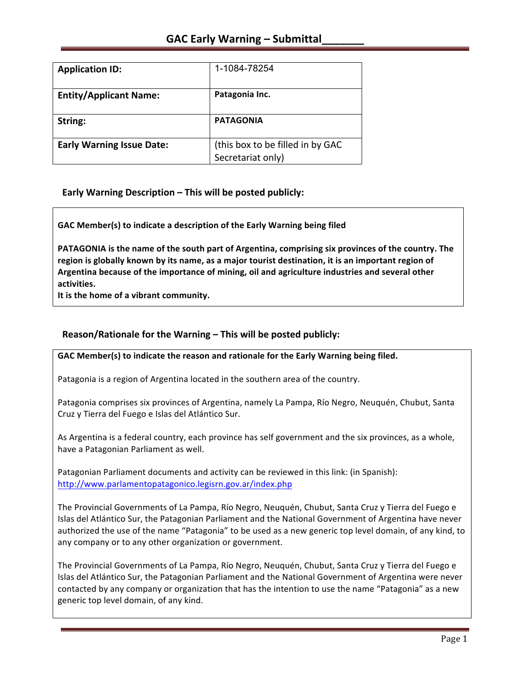| <b>Application ID:</b>           | 1-1084-78254                     |
|----------------------------------|----------------------------------|
|                                  |                                  |
| <b>Entity/Applicant Name:</b>    | Patagonia Inc.                   |
|                                  |                                  |
| String:                          | <b>PATAGONIA</b>                 |
|                                  |                                  |
| <b>Early Warning Issue Date:</b> | (this box to be filled in by GAC |
|                                  | Secretariat only)                |

## Early Warning Description - This will be posted publicly:

GAC Member(s) to indicate a description of the Early Warning being filed

PATAGONIA is the name of the south part of Argentina, comprising six provinces of the country. The region is globally known by its name, as a major tourist destination, it is an important region of Argentina because of the importance of mining, oil and agriculture industries and several other activities.

It is the home of a vibrant community.

## Reason/Rationale for the Warning - This will be posted publicly:

GAC Member(s) to indicate the reason and rationale for the Early Warning being filed.

Patagonia is a region of Argentina located in the southern area of the country.

Patagonia comprises six provinces of Argentina, namely La Pampa, Río Negro, Neuquén, Chubut, Santa Cruz y Tierra del Fuego e Islas del Atlántico Sur.

As Argentina is a federal country, each province has self government and the six provinces, as a whole, have a Patagonian Parliament as well.

Patagonian Parliament documents and activity can be reviewed in this link: (in Spanish): http://www.parlamentopatagonico.legisrn.gov.ar/index.php

The Provincial Governments of La Pampa, Río Negro, Neuguén, Chubut, Santa Cruz y Tierra del Fuego e Islas del Atlántico Sur, the Patagonian Parliament and the National Government of Argentina have never authorized the use of the name "Patagonia" to be used as a new generic top level domain, of any kind, to any company or to any other organization or government.

The Provincial Governments of La Pampa, Río Negro, Neuquén, Chubut, Santa Cruz y Tierra del Fuego e Islas del Atlántico Sur, the Patagonian Parliament and the National Government of Argentina were never contacted by any company or organization that has the intention to use the name "Patagonia" as a new generic top level domain, of any kind.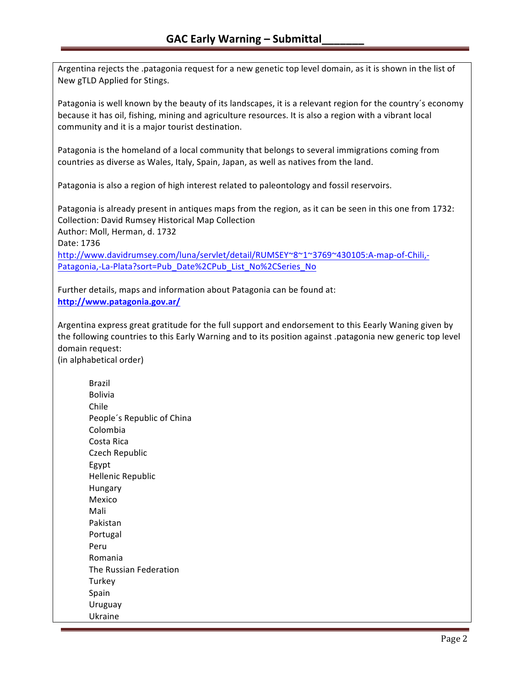Argentina rejects the .patagonia request for a new genetic top level domain, as it is shown in the list of New gTLD Applied for Stings.

Patagonia is well known by the beauty of its landscapes, it is a relevant region for the country's economy because it has oil, fishing, mining and agriculture resources. It is also a region with a vibrant local community and it is a major tourist destination.

Patagonia is the homeland of a local community that belongs to several immigrations coming from countries as diverse as Wales, Italy, Spain, Japan, as well as natives from the land.

Patagonia is also a region of high interest related to paleontology and fossil reservoirs.

Patagonia is already present in antiques maps from the region, as it can be seen in this one from 1732: Collection: David Rumsey Historical Map Collection Author: Moll, Herman, d. 1732 Date: 1736

http://www.davidrumsey.com/luna/servlet/detail/RUMSEY~8~1~3769~430105:A-map-of-Chili,-Patagonia,-La-Plata?sort=Pub\_Date%2CPub\_List\_No%2CSeries\_No

Further details, maps and information about Patagonia can be found at: **http://www.patagonia.gov.ar/**

Argentina express great gratitude for the full support and endorsement to this Eearly Waning given by the following countries to this Early Warning and to its position against .patagonia new generic top level domain request:

(in alphabetical order)

Brazil Bolivia Chile People's Republic of China Colombia Costa Rica Czech Republic Egypt Hellenic Republic Hungary Mexico Mali Pakistan Portugal Peru Romania The Russian Federation Turkey Spain Uruguay Ukraine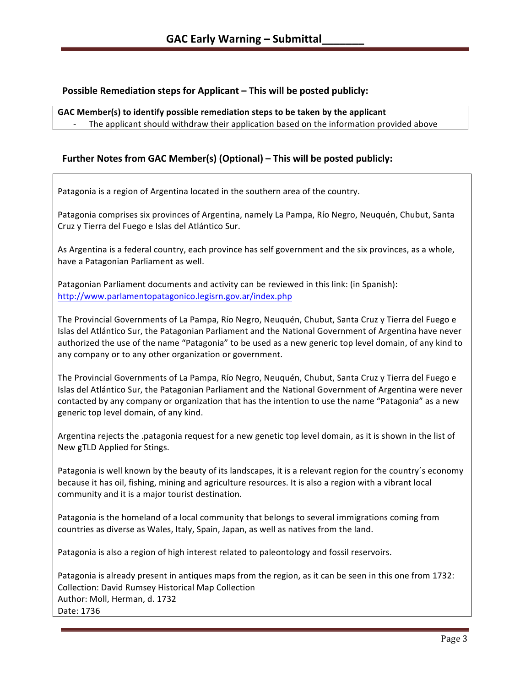### **Possible Remediation steps for Applicant – This will be posted publicly:**

GAC Member(s) to identify possible remediation steps to be taken by the applicant The applicant should withdraw their application based on the information provided above

### Further Notes from GAC Member(s) (Optional) – This will be posted publicly:

Patagonia is a region of Argentina located in the southern area of the country.

Patagonia comprises six provinces of Argentina, namely La Pampa, Río Negro, Neuquén, Chubut, Santa Cruz y Tierra del Fuego e Islas del Atlántico Sur.

As Argentina is a federal country, each province has self government and the six provinces, as a whole, have a Patagonian Parliament as well.

Patagonian Parliament documents and activity can be reviewed in this link: (in Spanish): http://www.parlamentopatagonico.legisrn.gov.ar/index.php

The Provincial Governments of La Pampa, Río Negro, Neuquén, Chubut, Santa Cruz y Tierra del Fuego e Islas del Atlántico Sur, the Patagonian Parliament and the National Government of Argentina have never authorized the use of the name "Patagonia" to be used as a new generic top level domain, of any kind to any company or to any other organization or government.

The Provincial Governments of La Pampa, Río Negro, Neuquén, Chubut, Santa Cruz y Tierra del Fuego e Islas del Atlántico Sur, the Patagonian Parliament and the National Government of Argentina were never contacted by any company or organization that has the intention to use the name "Patagonia" as a new generic top level domain, of any kind.

Argentina rejects the .patagonia request for a new genetic top level domain, as it is shown in the list of New gTLD Applied for Stings.

Patagonia is well known by the beauty of its landscapes, it is a relevant region for the country's economy because it has oil, fishing, mining and agriculture resources. It is also a region with a vibrant local community and it is a major tourist destination.

Patagonia is the homeland of a local community that belongs to several immigrations coming from countries as diverse as Wales, Italy, Spain, Japan, as well as natives from the land.

Patagonia is also a region of high interest related to paleontology and fossil reservoirs.

Patagonia is already present in antiques maps from the region, as it can be seen in this one from 1732: Collection: David Rumsey Historical Map Collection Author: Moll, Herman, d. 1732 Date: 1736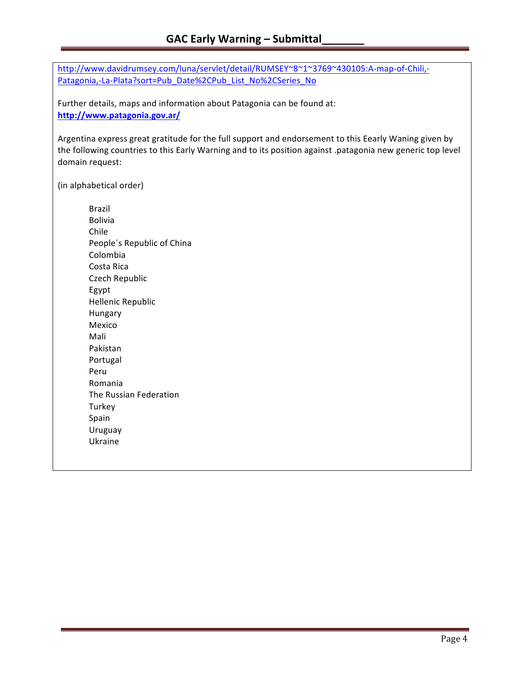http://www.davidrumsey.com/luna/servlet/detail/RUMSEY~8~1~3769~430105:A-map-of-Chili,-Patagonia,-La-Plata?sort=Pub\_Date%2CPub\_List\_No%2CSeries\_No

Further details, maps and information about Patagonia can be found at: **http://www.patagonia.gov.ar/**

Argentina express great gratitude for the full support and endorsement to this Eearly Waning given by the following countries to this Early Warning and to its position against .patagonia new generic top level domain request:

(in alphabetical order)

Brazil Bolivia Chile People's Republic of China Colombia Costa Rica Czech Republic Egypt Hellenic Republic Hungary Mexico Mali Pakistan Portugal Peru Romania The Russian Federation Turkey Spain Uruguay Ukraine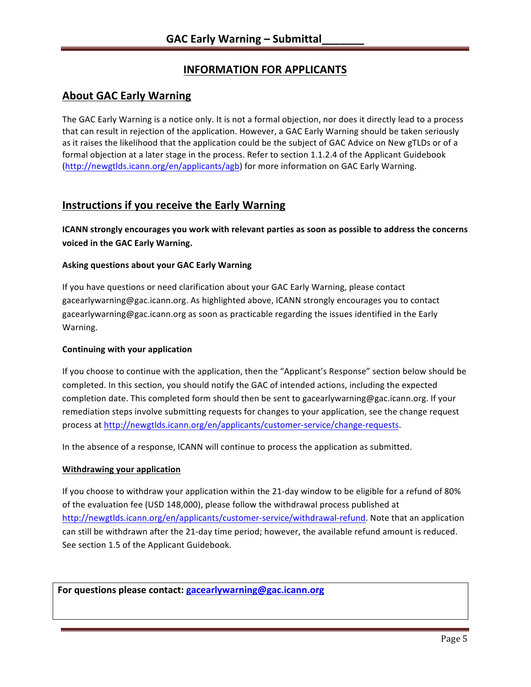# **INFORMATION FOR APPLICANTS**

## **About GAC Early Warning**

The GAC Early Warning is a notice only. It is not a formal objection, nor does it directly lead to a process that can result in rejection of the application. However, a GAC Early Warning should be taken seriously as it raises the likelihood that the application could be the subject of GAC Advice on New gTLDs or of a formal objection at a later stage in the process. Refer to section 1.1.2.4 of the Applicant Guidebook (http://newgtlds.icann.org/en/applicants/agb) for more information on GAC Early Warning.

# Instructions if you receive the Early Warning

ICANN strongly encourages you work with relevant parties as soon as possible to address the concerns voiced in the GAC Early Warning.

#### Asking questions about your GAC Early Warning

If you have questions or need clarification about your GAC Early Warning, please contact gacearlywarning@gac.icann.org. As highlighted above, ICANN strongly encourages you to contact gacearlywarning@gac.icann.org as soon as practicable regarding the issues identified in the Early Warning.

#### Continuing with your application

If you choose to continue with the application, then the "Applicant's Response" section below should be completed. In this section, you should notify the GAC of intended actions, including the expected completion date. This completed form should then be sent to gacearlywarning@gac.icann.org. If your remediation steps involve submitting requests for changes to your application, see the change request process at http://newgtlds.icann.org/en/applicants/customer-service/change-requests.

In the absence of a response, ICANN will continue to process the application as submitted.

#### Withdrawing your application

If you choose to withdraw your application within the 21-day window to be eligible for a refund of 80% of the evaluation fee (USD 148,000), please follow the withdrawal process published at http://newgtlds.icann.org/en/applicants/customer-service/withdrawal-refund. Note that an application can still be withdrawn after the 21-day time period; however, the available refund amount is reduced. See section 1.5 of the Applicant Guidebook.

For questions please contact: gacearlywarning@gac.icann.org